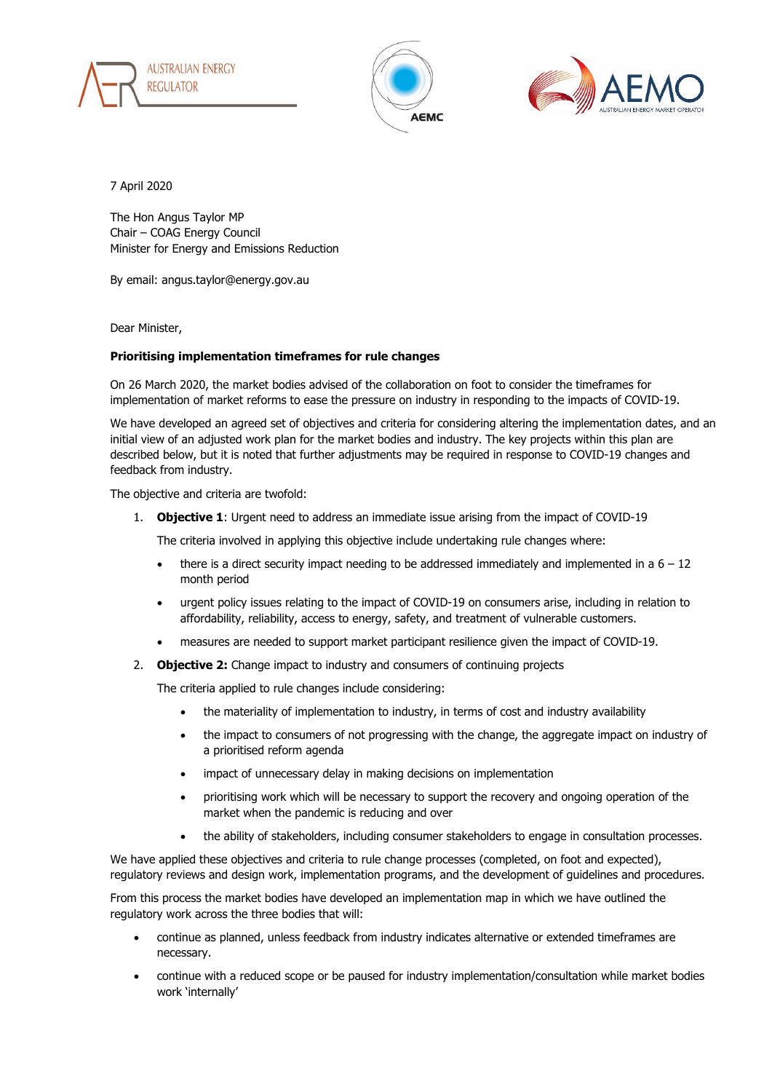





7 April 2020

The Hon Angus Taylor MP Chair – COAG Energy Council Minister for Energy and Emissions Reduction

By email: angus.taylor@energy.gov.au

Dear Minister,

## **Prioritising implementation timeframes for rule changes**

On 26 March 2020, the market bodies advised of the collaboration on foot to consider the timeframes for implementation of market reforms to ease the pressure on industry in responding to the impacts of COVID-19.

We have developed an agreed set of objectives and criteria for considering altering the implementation dates, and an initial view of an adjusted work plan for the market bodies and industry. The key projects within this plan are described below, but it is noted that further adjustments may be required in response to COVID-19 changes and feedback from industry.

The objective and criteria are twofold:

1. **Objective 1**: Urgent need to address an immediate issue arising from the impact of COVID-19

The criteria involved in applying this objective include undertaking rule changes where:

- there is a direct security impact needing to be addressed immediately and implemented in a  $6 12$ month period
- urgent policy issues relating to the impact of COVID-19 on consumers arise, including in relation to affordability, reliability, access to energy, safety, and treatment of vulnerable customers.
- measures are needed to support market participant resilience given the impact of COVID-19.
- 2. **Objective 2:** Change impact to industry and consumers of continuing projects

The criteria applied to rule changes include considering:

- the materiality of implementation to industry, in terms of cost and industry availability
- the impact to consumers of not progressing with the change, the aggregate impact on industry of a prioritised reform agenda
- impact of unnecessary delay in making decisions on implementation
- prioritising work which will be necessary to support the recovery and ongoing operation of the market when the pandemic is reducing and over
- the ability of stakeholders, including consumer stakeholders to engage in consultation processes.

We have applied these objectives and criteria to rule change processes (completed, on foot and expected), regulatory reviews and design work, implementation programs, and the development of guidelines and procedures.

From this process the market bodies have developed an implementation map in which we have outlined the regulatory work across the three bodies that will:

- continue as planned, unless feedback from industry indicates alternative or extended timeframes are necessary.
- continue with a reduced scope or be paused for industry implementation/consultation while market bodies work 'internally'